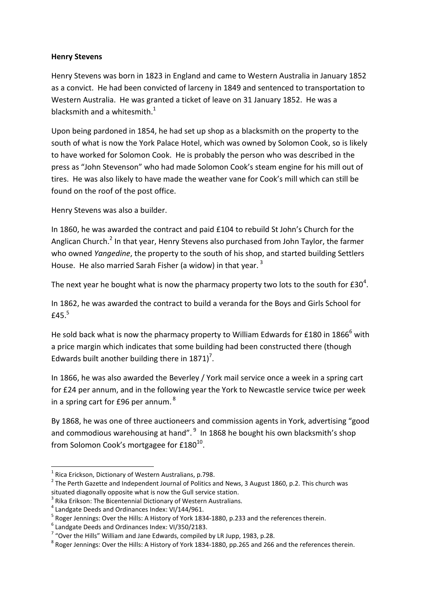## **Henry Stevens**

Henry Stevens was born in 1823 in England and came to Western Australia in January 1852 as a convict. He had been convicted of larceny in 1849 and sentenced to transportation to Western Australia. He was granted a ticket of leave on 31 January 1852. He was a blacksmith and a whitesmith. $^{1}$ 

Upon being pardoned in 1854, he had set up shop as a blacksmith on the property to the south of what is now the York Palace Hotel, which was owned by Solomon Cook, so is likely to have worked for Solomon Cook. He is probably the person who was described in the press as "John Stevenson" who had made Solomon Cook's steam engine for his mill out of tires. He was also likely to have made the weather vane for Cook's mill which can still be found on the roof of the post office.

Henry Stevens was also a builder.

In 1860, he was awarded the contract and paid £104 to rebuild St John's Church for the Anglican Church.<sup>2</sup> In that year, Henry Stevens also purchased from John Taylor, the farmer who owned *Yangedine*, the property to the south of his shop, and started building Settlers House. He also married Sarah Fisher (a widow) in that year.<sup>3</sup>

The next year he bought what is now the pharmacy property two lots to the south for £30<sup>4</sup>.

In 1862, he was awarded the contract to build a veranda for the Boys and Girls School for £45. $5$ 

He sold back what is now the pharmacy property to William Edwards for £180 in 1866 $<sup>6</sup>$  with</sup> a price margin which indicates that some building had been constructed there (though Edwards built another building there in  $1871$ <sup>7</sup>.

In 1866, he was also awarded the Beverley / York mail service once a week in a spring cart for £24 per annum, and in the following year the York to Newcastle service twice per week in a spring cart for £96 per annum.  $^{8}$ 

By 1868, he was one of three auctioneers and commission agents in York, advertising "good and commodious warehousing at hand". <sup>9</sup> In 1868 he bought his own blacksmith's shop from Solomon Cook's mortgagee for £180 $^{10}$ .

1

 $<sup>1</sup>$  Rica Erickson, Dictionary of Western Australians, p.798.</sup>

 $2$  The Perth Gazette and Independent Journal of Politics and News, 3 August 1860, p.2. This church was situated diagonally opposite what is now the Gull service station.

 $3$  Rika Erikson: The Bicentennial Dictionary of Western Australians.

<sup>&</sup>lt;sup>4</sup> Landgate Deeds and Ordinances Index: VI/144/961.

<sup>&</sup>lt;sup>5</sup> Roger Jennings: Over the Hills: A History of York 1834-1880, p.233 and the references therein.

<sup>6</sup> Landgate Deeds and Ordinances Index: VI/350/2183.

 $7$  "Over the Hills" William and Jane Edwards, compiled by LR Jupp, 1983, p.28.

 $^8$  Roger Jennings: Over the Hills: A History of York 1834-1880, pp.265 and 266 and the references therein.